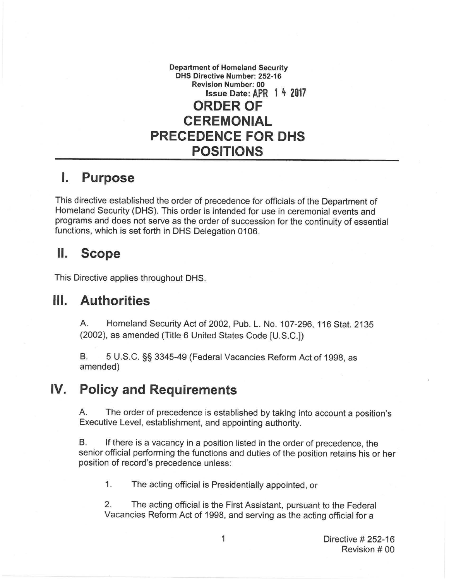**Department of Homeland Security DHS Directive Number: 252-16 Revision Number: 00 Issue Date: APR 1 4 2017 ORDER OF CEREMONIAL PRECEDENCE FOR OHS POSITIONS** 

## I. **Purpose**

This directive established the order of precedence for officials of the Department of Homeland Security (OHS). This order is intended for use in ceremonial events and programs and does not serve as the order of succession for the continuity of essential functions, which is set forth in OHS Delegation 0106.

## II. **Scope**

This Directive applies throughout OHS.

## **Ill. Authorities**

A. Homeland Security Act of 2002, Pub. L. No. 107-296, 116 Stat. 2135 (2002), as amended (Title 6 United States Code [U.S.C.])

B. 5 U.S.C. §§ 3345-49 (Federal Vacancies Reform Act of 1998, as amended)

## **IV. Policy and Requirements**

A. The order of precedence is established by taking into account a position's Executive Level, establishment, and appointing authority.

B. If there is a vacancy in a position listed in the order of precedence, the senior official performing the functions and duties of the position retains his or her position of record's precedence unless:

1. The acting official is Presidentially appointed, or

2. The acting official is the First Assistant, pursuant to the Federal Vacancies Reform Act of 1998, and serving as the acting official for a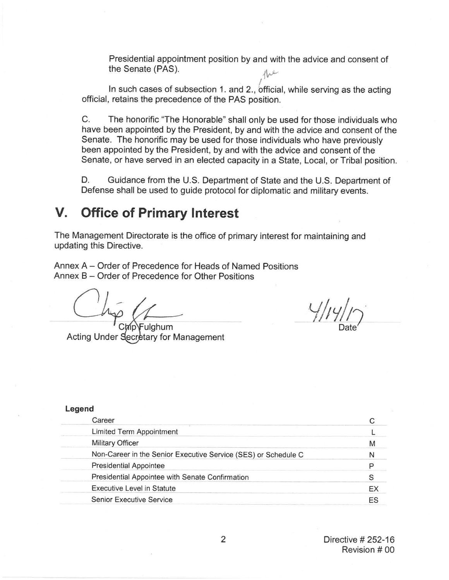Presidential appointment position by and with the advice and consent of the Senate (PAS).<br>  $\mathcal{A}^{\mu\nu}$ the Senate (PAS).

In such cases of subsection 1. and 2., official, while serving as the acting official, retains the precedence of the PAS position.

C. The honorific "The Honorable" shall only be used for those individuals who have been appointed by the President, by and with the advice and consent of the Senate. The honorific may be used for those individuals who have previously been appointed by the President, by and with the advice and consent of the Senate, or have served in an elected capacity in a State, Local, or Tribal position.

D. Guidance from the U.S. Department of State and the U.S. Department of Defense shall be used to guide protocol for diplomatic and military events.

# **V. Office of Primary Interest**

The Management Directorate is the office of primary interest for maintaining and updating this Directive.

Annex A - Order of Precedence for Heads of Named Positions Annex B – Order of Precedence for Other Positions

Acting Under Secretary for Management

*Y/JYlt* Date *)*

| Legend                                                         |    |
|----------------------------------------------------------------|----|
| Career                                                         |    |
| <b>Limited Term Appointment</b>                                |    |
| <b>Military Officer</b>                                        | М  |
| Non-Career in the Senior Executive Service (SES) or Schedule C | N  |
| <b>Presidential Appointee</b>                                  |    |
| Presidential Appointee with Senate Confirmation                |    |
| <b>Executive Level in Statute</b>                              | EX |
| <b>Senior Executive Service</b>                                | ES |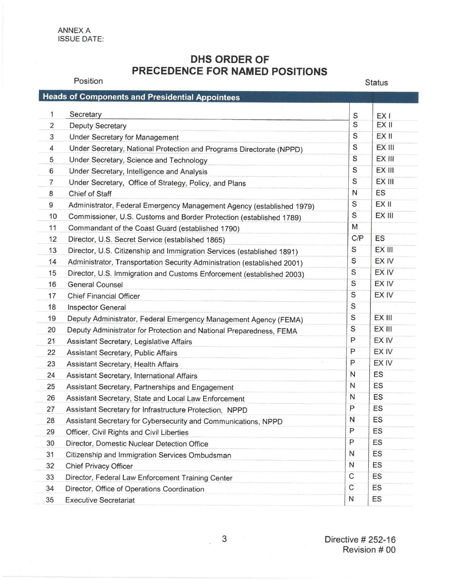ANNEX A ISSUE DATE:

Position

### **DHS ORDER OF PRECEDENCE FOR NAMED POSITIONS**

Status

|                  | <b>Heads of Components and Presidential Appointees</b>                   |               |                 |
|------------------|--------------------------------------------------------------------------|---------------|-----------------|
| 1                | Secretary                                                                | S             | EX <sub>I</sub> |
| $\overline{2}$   | <b>Deputy Secretary</b>                                                  | S             | EX II           |
| 3                | Under Secretary for Management                                           | S             | EX II           |
| 4                | Under Secretary, National Protection and Programs Directorate (NPPD)     | S             | EX III          |
| 5                | Under Secretary, Science and Technology                                  | S             | EX III          |
| 6                | Under Secretary, Intelligence and Analysis                               | S             | EX III          |
| $\overline{7}$   | Under Secretary, Office of Strategy, Policy, and Plans                   | S             | EX III          |
| $\boldsymbol{8}$ | Chief of Staff                                                           | N             | <b>ES</b>       |
| 9                | Administrator, Federal Emergency Management Agency (established 1979)    | $\mathsf S$   | EX II           |
| 10               | Commissioner, U.S. Customs and Border Protection (established 1789)      | $\mathsf S$   | EX III          |
| 11               | Commandant of the Coast Guard (established 1790)                         | M             |                 |
| 12               | Director, U.S. Secret Service (established 1865)                         | C/P           | <b>ES</b>       |
| 13               | Director, U.S. Citizenship and Immigration Services (established 1891)   | ${\mathsf S}$ | EX III          |
| 14               | Administrator, Transportation Security Administration (established 2001) | S             | EX IV           |
| 15               | Director, U.S. Immigration and Customs Enforcement (established 2003)    | S             | EX IV           |
| 16               | <b>General Counsel</b>                                                   | S             | EX IV           |
| 17               | <b>Chief Financial Officer</b>                                           | S             | EX IV           |
| 18               | <b>Inspector General</b>                                                 | S             |                 |
| 19               | Deputy Administrator, Federal Emergency Management Agency (FEMA)         | S             | EX III          |
| 20               | Deputy Administrator for Protection and National Preparedness, FEMA      | S             | EX III          |
| 21               | Assistant Secretary, Legislative Affairs                                 | P             | EX IV           |
| 22               | Assistant Secretary, Public Affairs                                      | P             | EX IV           |
| 23               | Assistant Secretary, Health Affairs                                      | P             | EX IV           |
| 24               | Assistant Secretary, International Affairs                               | $\mathsf{N}$  | ES              |
| 25               | Assistant Secretary, Partnerships and Engagement                         | $\mathsf{N}$  | ES              |
| 26               | Assistant Secretary, State and Local Law Enforcement                     | N             | ES              |
| 27               | Assistant Secretary for Infrastructure Protection, NPPD                  | P             | ES              |
| 28               | Assistant Secretary for Cybersecurity and Communications, NPPD           | N             | ES              |
| 29               | Officer, Civil Rights and Civil Liberties                                | P             | ES              |
| 30               | Director, Domestic Nuclear Detection Office                              | P             | ES              |
| 31               | Citizenship and Immigration Services Ombudsman                           | $\mathsf{N}$  | ES              |
| 32               | <b>Chief Privacy Officer</b>                                             | $\mathsf{N}$  | ES              |
| 33               | Director, Federal Law Enforcement Training Center                        | $\mathsf C$   | ES              |
| 34               | Director, Office of Operations Coordination                              | $\mathsf C$   | ES              |
| 35               | <b>Executive Secretariat</b>                                             | N             | ES              |